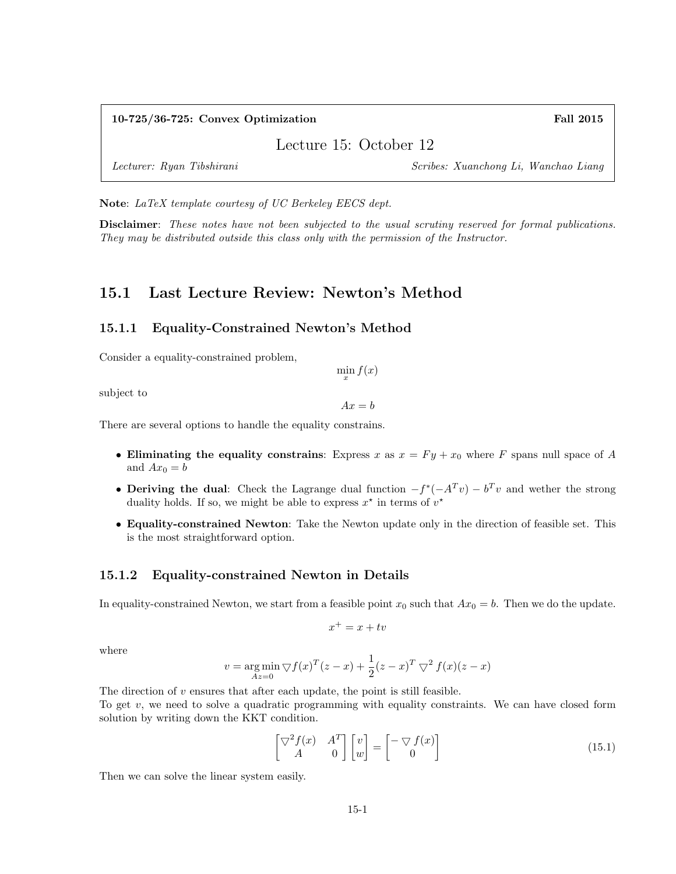#### 10-725/36-725: Convex Optimization Fall 2015

Lecture 15: October 12

Lecturer: Ryan Tibshirani Scribes: Xuanchong Li, Wanchao Liang

Note: LaTeX template courtesy of UC Berkeley EECS dept.

Disclaimer: These notes have not been subjected to the usual scrutiny reserved for formal publications. They may be distributed outside this class only with the permission of the Instructor.

## 15.1 Last Lecture Review: Newton's Method

#### 15.1.1 Equality-Constrained Newton's Method

Consider a equality-constrained problem,

 $\min_{x} f(x)$ 

subject to

 $Ax = b$ 

There are several options to handle the equality constrains.

- Eliminating the equality constrains: Express x as  $x = Fy + x_0$  where F spans null space of A and  $Ax_0 = b$
- Deriving the dual: Check the Lagrange dual function  $-f^*(-A<sup>T</sup>v) b<sup>T</sup>v$  and wether the strong duality holds. If so, we might be able to express  $x^*$  in terms of  $v^*$
- Equality-constrained Newton: Take the Newton update only in the direction of feasible set. This is the most straightforward option.

#### 15.1.2 Equality-constrained Newton in Details

In equality-constrained Newton, we start from a feasible point  $x_0$  such that  $Ax_0 = b$ . Then we do the update.

$$
x^+ = x + tv
$$

where

$$
v = \underset{Az=0}{\arg \min} \bigtriangledown f(x)^{T} (z - x) + \frac{1}{2} (z - x)^{T} \bigtriangledown^{2} f(x) (z - x)
$$

The direction of  $v$  ensures that after each update, the point is still feasible. To get  $v$ , we need to solve a quadratic programming with equality constraints. We can have closed form solution by writing down the KKT condition.

$$
\begin{bmatrix} \nabla^2 f(x) & A^T \\ A & 0 \end{bmatrix} \begin{bmatrix} v \\ w \end{bmatrix} = \begin{bmatrix} -\nabla f(x) \\ 0 \end{bmatrix}
$$
 (15.1)

Then we can solve the linear system easily.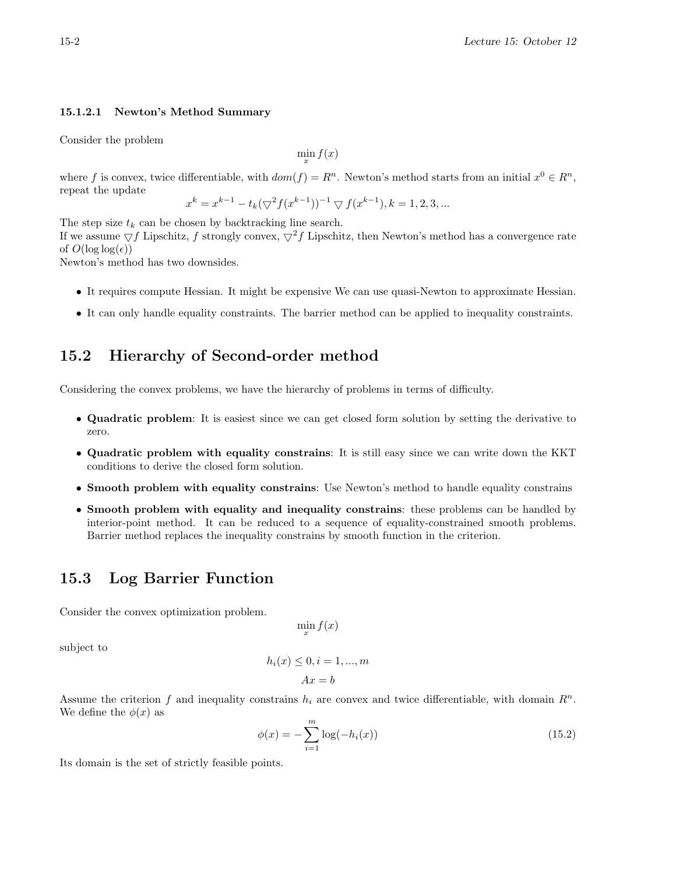#### 15.1.2.1 Newton's Method Summary

Consider the problem

$$
\min_x f(x)
$$

where f is convex, twice differentiable, with  $dom(f) = R<sup>n</sup>$ . Newton's method starts from an initial  $x<sup>0</sup> \in R<sup>n</sup>$ , repeat the update

$$
x^k = x^{k-1} - t_k (\bigtriangledown^2 f(x^{k-1}))^{-1} \bigtriangledown f(x^{k-1}), k = 1, 2, 3, \ldots
$$

The step size  $t_k$  can be chosen by backtracking line search.

If we assume  $\bigtriangledown f$  Lipschitz, f strongly convex,  $\bigtriangledown^2 f$  Lipschitz, then Newton's method has a convergence rate of  $O(\log \log(\epsilon))$ 

Newton's method has two downsides.

- It requires compute Hessian. It might be expensive We can use quasi-Newton to approximate Hessian.
- It can only handle equality constraints. The barrier method can be applied to inequality constraints.

### 15.2 Hierarchy of Second-order method

Considering the convex problems, we have the hierarchy of problems in terms of difficulty.

- Quadratic problem: It is easiest since we can get closed form solution by setting the derivative to zero.
- Quadratic problem with equality constrains: It is still easy since we can write down the KKT conditions to derive the closed form solution.
- Smooth problem with equality constrains: Use Newton's method to handle equality constrains
- Smooth problem with equality and inequality constrains: these problems can be handled by interior-point method. It can be reduced to a sequence of equality-constrained smooth problems. Barrier method replaces the inequality constrains by smooth function in the criterion.

## 15.3 Log Barrier Function

Consider the convex optimization problem.

$$
\min_x f(x)
$$

subject to

$$
h_i(x) \le 0, i = 1, ..., m
$$

$$
Ax = b
$$

Assume the criterion f and inequality constrains  $h_i$  are convex and twice differentiable, with domain  $R^n$ . We define the  $\phi(x)$  as

$$
\phi(x) = -\sum_{i=1}^{m} \log(-h_i(x))
$$
\n(15.2)

Its domain is the set of strictly feasible points.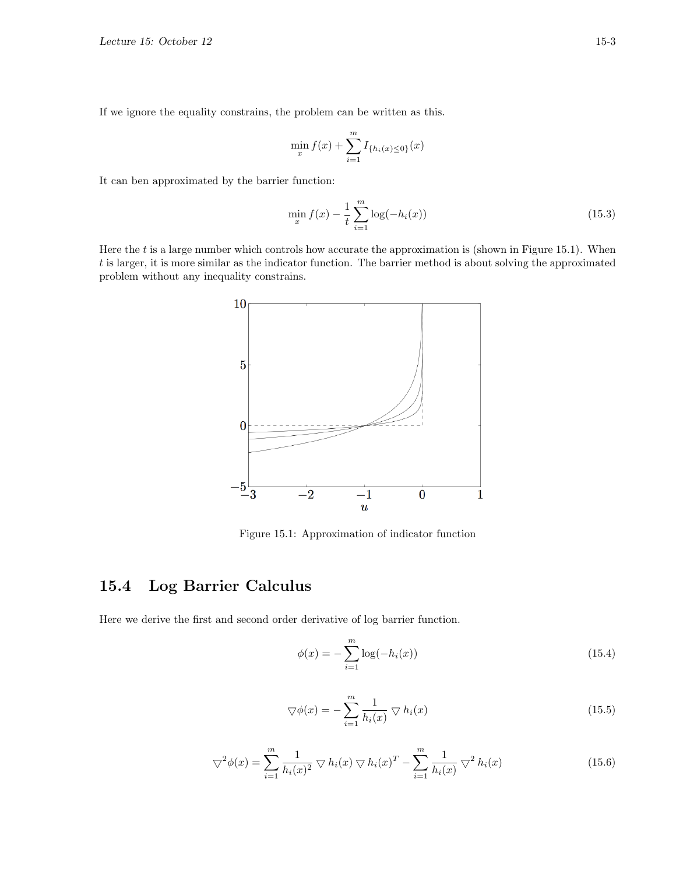If we ignore the equality constrains, the problem can be written as this.

$$
\min_{x} f(x) + \sum_{i=1}^{m} I_{\{h_i(x) \le 0\}}(x)
$$

It can ben approximated by the barrier function:

$$
\min_{x} f(x) - \frac{1}{t} \sum_{i=1}^{m} \log(-h_i(x))
$$
\n(15.3)

Here the  $t$  is a large number which controls how accurate the approximation is (shown in Figure 15.1). When t is larger, it is more similar as the indicator function. The barrier method is about solving the approximated problem without any inequality constrains.



Figure 15.1: Approximation of indicator function

# 15.4 Log Barrier Calculus

Here we derive the first and second order derivative of log barrier function.

$$
\phi(x) = -\sum_{i=1}^{m} \log(-h_i(x))
$$
\n(15.4)

$$
\nabla \phi(x) = -\sum_{i=1}^{m} \frac{1}{h_i(x)} \nabla h_i(x)
$$
\n(15.5)

$$
\nabla^2 \phi(x) = \sum_{i=1}^m \frac{1}{h_i(x)^2} \nabla h_i(x) \nabla h_i(x)^T - \sum_{i=1}^m \frac{1}{h_i(x)} \nabla^2 h_i(x)
$$
 (15.6)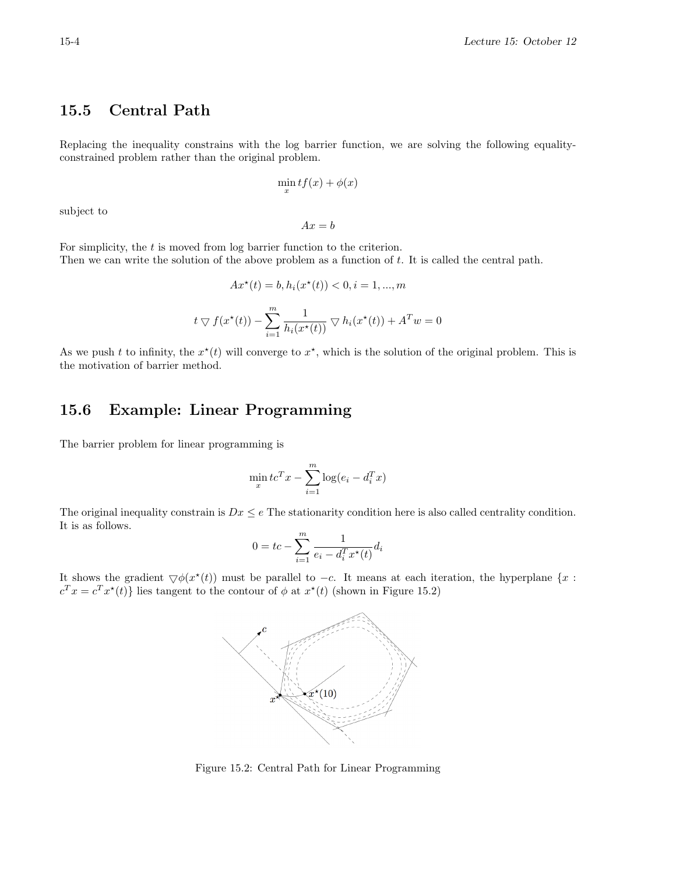# 15.5 Central Path

Replacing the inequality constrains with the log barrier function, we are solving the following equalityconstrained problem rather than the original problem.

$$
\min_x tf(x) + \phi(x)
$$

subject to

$$
Ax = b
$$

For simplicity, the  $t$  is moved from log barrier function to the criterion. Then we can write the solution of the above problem as a function of t. It is called the central path.

$$
Ax^*(t) = b, h_i(x^*(t)) < 0, i = 1, \dots, m
$$

$$
t \nabla f(x^*(t)) - \sum_{i=1}^m \frac{1}{h_i(x^*(t))} \nabla h_i(x^*(t)) + A^T w = 0
$$

As we push t to infinity, the  $x^*(t)$  will converge to  $x^*$ , which is the solution of the original problem. This is the motivation of barrier method.

## 15.6 Example: Linear Programming

The barrier problem for linear programming is

$$
\min_{x} t c^{T} x - \sum_{i=1}^{m} \log(e_i - d_i^{T} x)
$$

The original inequality constrain is  $Dx \leq e$  The stationarity condition here is also called centrality condition. It is as follows.

$$
0 = tc - \sum_{i=1}^{m} \frac{1}{e_i - d_i^T x^*(t)} d_i
$$

It shows the gradient  $\bigtriangledown \phi(x^*(t))$  must be parallel to  $-c$ . It means at each iteration, the hyperplane {x :  $c^T x = c^T x^*(t)$  lies tangent to the contour of  $\phi$  at  $x^*(t)$  (shown in Figure 15.2)



Figure 15.2: Central Path for Linear Programming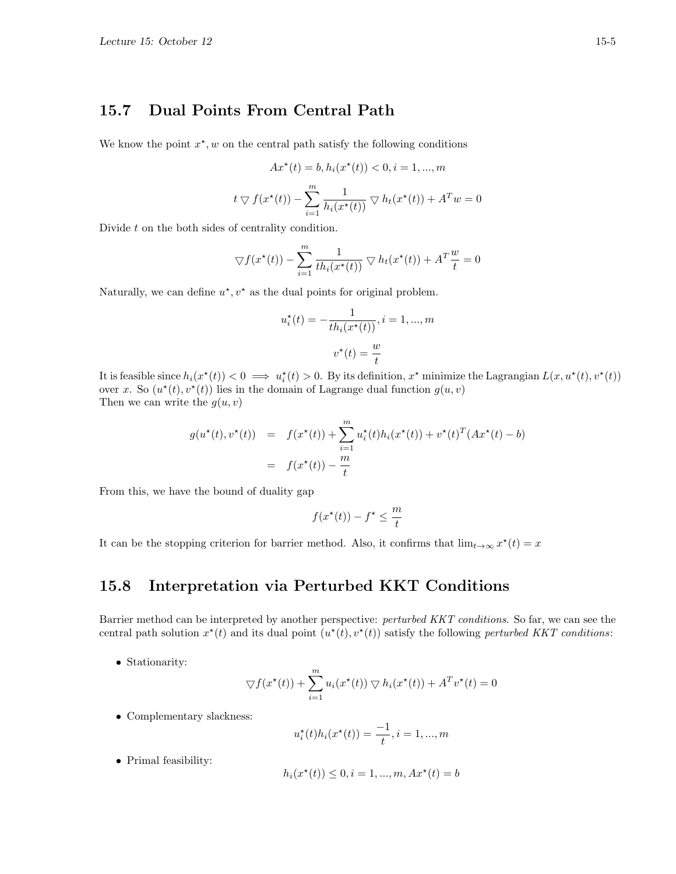## 15.7 Dual Points From Central Path

We know the point  $x^*$ , w on the central path satisfy the following conditions

$$
Ax^\star(t)=b, h_i(x^\star(t))<0, i=1,...,m
$$

$$
t \nabla f(x^*(t)) - \sum_{i=1}^m \frac{1}{h_i(x^*(t))} \nabla h_t(x^*(t)) + A^T w = 0
$$

Divide t on the both sides of centrality condition.

$$
\nabla f(x^*(t)) - \sum_{i=1}^m \frac{1}{th_i(x^*(t))} \nabla h_t(x^*(t)) + A^T \frac{w}{t} = 0
$$

Naturally, we can define  $u^*$ ,  $v^*$  as the dual points for original problem.

$$
u_i^{\star}(t) = -\frac{1}{th_i(x^{\star}(t))}, i = 1, ..., m
$$

$$
v^{\star}(t) = \frac{w}{t}
$$

It is feasible since  $h_i(x^*(t)) < 0 \implies u_i^*(t) > 0$ . By its definition,  $x^*$  minimize the Lagrangian  $L(x, u^*(t), v^*(t))$ over x. So  $(u^*(t), v^*(t))$  lies in the domain of Lagrange dual function  $g(u, v)$ Then we can write the  $g(u, v)$ 

$$
g(u^*(t), v^*(t)) = f(x^*(t)) + \sum_{i=1}^m u_i^*(t)h_i(x^*(t)) + v^*(t)^T(Ax^*(t) - b)
$$
  
=  $f(x^*(t)) - \frac{m}{t}$ 

From this, we have the bound of duality gap

$$
f(x^\star(t)) - f^\star \le \frac{m}{t}
$$

It can be the stopping criterion for barrier method. Also, it confirms that  $\lim_{t\to\infty} x^*(t) = x$ 

## 15.8 Interpretation via Perturbed KKT Conditions

Barrier method can be interpreted by another perspective: perturbed KKT conditions. So far, we can see the central path solution  $x^*(t)$  and its dual point  $(u^*(t), v^*(t))$  satisfy the following perturbed KKT conditions:

• Stationarity:

$$
\nabla f(x^*(t)) + \sum_{i=1}^m u_i(x^*(t)) \nabla h_i(x^*(t)) + A^T v^*(t) = 0
$$

• Complementary slackness:

$$
u_i^*(t)h_i(x^*(t)) = \frac{-1}{t}, i = 1, ..., m
$$

• Primal feasibility:

$$
h_i(x^*(t)) \le 0, i = 1, ..., m, Ax^*(t) = b
$$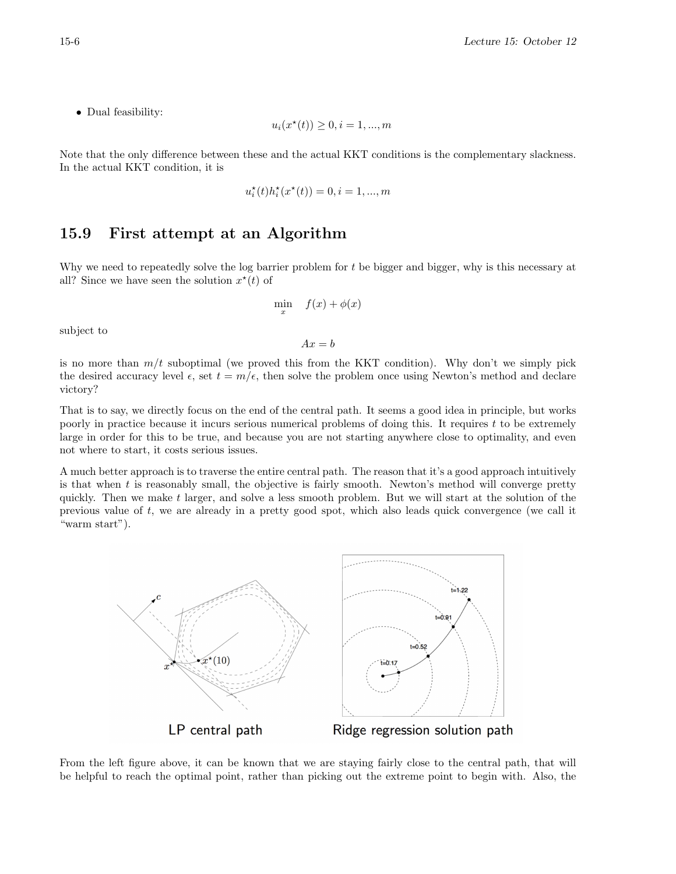• Dual feasibility:

$$
u_i(x^*(t)) \ge 0, i = 1, ..., m
$$

Note that the only difference between these and the actual KKT conditions is the complementary slackness. In the actual KKT condition, it is

$$
u_i^\star(t)h_i^\star(x^\star(t))=0, i=1,...,m
$$

## 15.9 First attempt at an Algorithm

Why we need to repeatedly solve the log barrier problem for  $t$  be bigger and bigger, why is this necessary at all? Since we have seen the solution  $x^*(t)$  of

$$
\min_{x} \quad f(x) + \phi(x)
$$

subject to

 $Ax = b$ 

is no more than  $m/t$  suboptimal (we proved this from the KKT condition). Why don't we simply pick the desired accuracy level  $\epsilon$ , set  $t = m/\epsilon$ , then solve the problem once using Newton's method and declare victory?

That is to say, we directly focus on the end of the central path. It seems a good idea in principle, but works poorly in practice because it incurs serious numerical problems of doing this. It requires t to be extremely large in order for this to be true, and because you are not starting anywhere close to optimality, and even not where to start, it costs serious issues.

A much better approach is to traverse the entire central path. The reason that it's a good approach intuitively is that when t is reasonably small, the objective is fairly smooth. Newton's method will converge pretty quickly. Then we make  $t$  larger, and solve a less smooth problem. But we will start at the solution of the previous value of t, we are already in a pretty good spot, which also leads quick convergence (we call it "warm start").



From the left figure above, it can be known that we are staying fairly close to the central path, that will be helpful to reach the optimal point, rather than picking out the extreme point to begin with. Also, the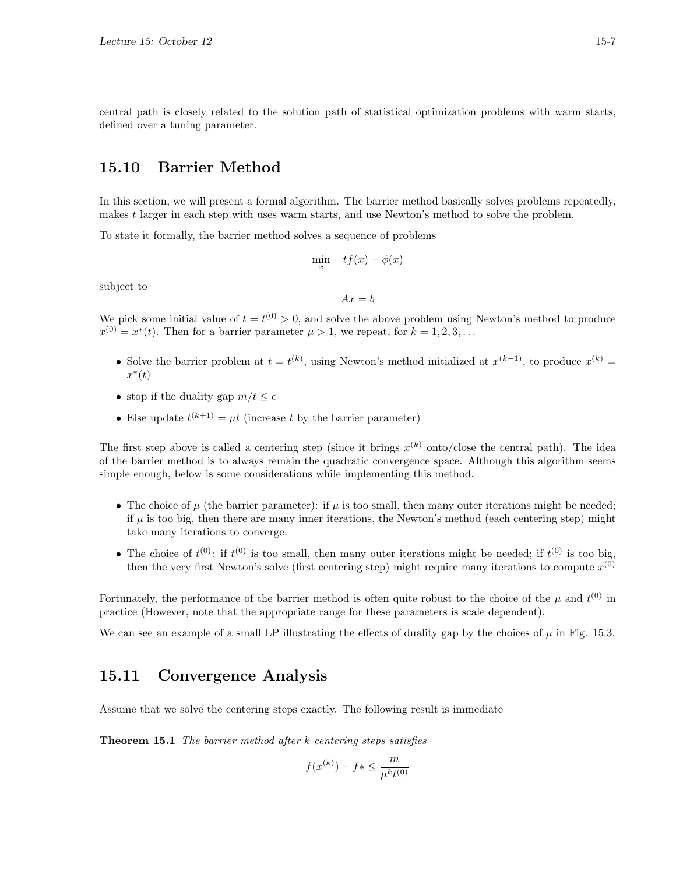central path is closely related to the solution path of statistical optimization problems with warm starts, defined over a tuning parameter.

### 15.10 Barrier Method

In this section, we will present a formal algorithm. The barrier method basically solves problems repeatedly, makes t larger in each step with uses warm starts, and use Newton's method to solve the problem.

To state it formally, the barrier method solves a sequence of problems

$$
\min_x \quad tf(x) + \phi(x)
$$

subject to

$$
Ax = b
$$

We pick some initial value of  $t = t^{(0)} > 0$ , and solve the above problem using Newton's method to produce  $x^{(0)} = x^*(t)$ . Then for a barrier parameter  $\mu > 1$ , we repeat, for  $k = 1, 2, 3, \ldots$ 

- Solve the barrier problem at  $t = t^{(k)}$ , using Newton's method initialized at  $x^{(k-1)}$ , to produce  $x^{(k)}$  $x^*(t)$
- stop if the duality gap  $m/t \leq \epsilon$
- Else update  $t^{(k+1)} = \mu t$  (increase t by the barrier parameter)

The first step above is called a centering step (since it brings  $x^{(k)}$  onto/close the central path). The idea of the barrier method is to always remain the quadratic convergence space. Although this algorithm seems simple enough, below is some considerations while implementing this method.

- The choice of  $\mu$  (the barrier parameter): if  $\mu$  is too small, then many outer iterations might be needed; if  $\mu$  is too big, then there are many inner iterations, the Newton's method (each centering step) might take many iterations to converge.
- The choice of  $t^{(0)}$ : if  $t^{(0)}$  is too small, then many outer iterations might be needed; if  $t^{(0)}$  is too big, then the very first Newton's solve (first centering step) might require many iterations to compute  $x^{(0)}$

Fortunately, the performance of the barrier method is often quite robust to the choice of the  $\mu$  and  $t^{(0)}$  in practice (However, note that the appropriate range for these parameters is scale dependent).

We can see an example of a small LP illustrating the effects of duality gap by the choices of  $\mu$  in Fig. 15.3.

## 15.11 Convergence Analysis

Assume that we solve the centering steps exactly. The following result is immediate

**Theorem 15.1** The barrier method after  $k$  centering steps satisfies

$$
f(x^{(k)}) - f* \le \frac{m}{\mu^k t^{(0)}}
$$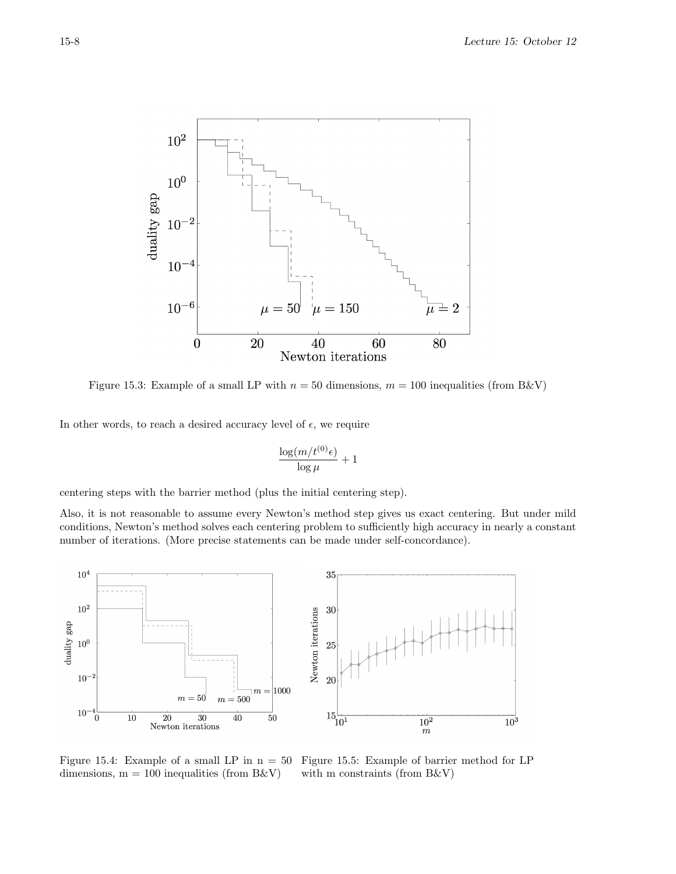

Figure 15.3: Example of a small LP with  $n = 50$  dimensions,  $m = 100$  inequalities (from B&V)

In other words, to reach a desired accuracy level of  $\epsilon$ , we require

$$
\frac{\log(m/t^{(0)}\epsilon)}{\log \mu} + 1
$$

centering steps with the barrier method (plus the initial centering step).

Also, it is not reasonable to assume every Newton's method step gives us exact centering. But under mild conditions, Newton's method solves each centering problem to sufficiently high accuracy in nearly a constant number of iterations. (More precise statements can be made under self-concordance).



Figure 15.4: Example of a small LP in  $n = 50$ dimensions,  $m = 100$  inequalities (from B&V)

Figure 15.5: Example of barrier method for LP with m constraints (from B&V)